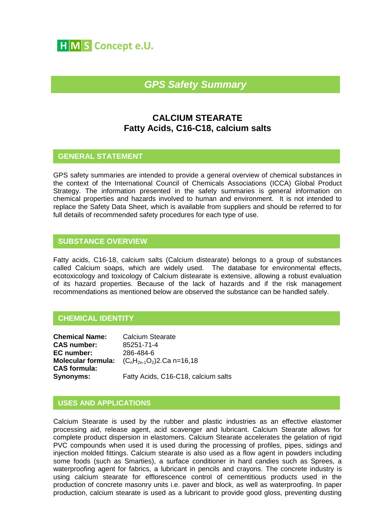

# *GPS Safety Summary*

# **CALCIUM STEARATE Fatty Acids, C16-C18, calcium salts**

# **GENERAL STATEMENT**

GPS safety summaries are intended to provide a general overview of chemical substances in the context of the International Council of Chemicals Associations (ICCA) Global Product Strategy. The information presented in the safety summaries is general information on chemical properties and hazards involved to human and environment. It is not intended to replace the Safety Data Sheet, which is available from suppliers and should be referred to for full details of recommended safety procedures for each type of use.

# **SUBSTANCE OVERVIEW**

Fatty acids, C16-18, calcium salts (Calcium distearate) belongs to a group of substances called Calcium soaps, which are widely used. The database for environmental effects, ecotoxicology and toxicology of Calcium distearate is extensive, allowing a robust evaluation of its hazard properties. Because of the lack of hazards and if the risk management recommendations as mentioned below are observed the substance can be handled safely.

# **CHEMICAL IDENTITY**

| <b>Chemical Name:</b>     |
|---------------------------|
| <b>CAS number:</b>        |
| EC number:                |
| <b>Molecular formula:</b> |
| <b>CAS</b> formula:       |
| <b>Synonyms:</b>          |

**Calcium Stearate CAS number:** 85251-71-4 **EC number:** 286-484-6 **(C<sub>n</sub>H<sub>2n-1</sub>O<sub>2</sub>)2.Ca n=16,18 Synonyms:** Fatty Acids, C16-C18, calcium salts

# **USES AND APPLICATIONS**

Calcium Stearate is used by the rubber and plastic industries as an effective elastomer processing aid, release agent, acid scavenger and lubricant. Calcium Stearate allows for complete product dispersion in elastomers. Calcium Stearate accelerates the gelation of rigid PVC compounds when used it is used during the processing of profiles, pipes, sidings and injection molded fittings. Calcium stearate is also used as a flow agent in powders including some foods (such as Smarties), a surface conditioner in hard candies such as Sprees, a waterproofing agent for fabrics, a lubricant in pencils and crayons. The concrete industry is using calcium stearate for efflorescence control of cementitious products used in the production of concrete masonry units i.e. paver and block, as well as waterproofing. In paper production, calcium stearate is used as a lubricant to provide good gloss, preventing dusting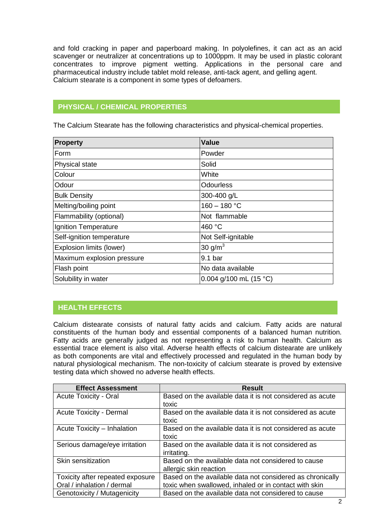and fold cracking in paper and paperboard making. In polyolefines, it can act as an acid scavenger or neutralizer at concentrations up to 1000ppm. It may be used in plastic colorant concentrates to improve pigment wetting. Applications in the personal care and pharmaceutical industry include tablet mold release, anti-tack agent, and gelling agent. Calcium stearate is a component in some types of defoamers.

# **PHYSICAL / CHEMICAL PROPERTIES**

The Calcium Stearate has the following characteristics and physical-chemical properties.

| <b>Property</b>            | <b>Value</b>           |
|----------------------------|------------------------|
| Form                       | Powder                 |
| <b>Physical state</b>      | Solid                  |
| Colour                     | White                  |
| Odour                      | <b>Odourless</b>       |
| <b>Bulk Density</b>        | 300-400 g/L            |
| Melting/boiling point      | $160 - 180 °C$         |
| Flammability (optional)    | Not flammable          |
| Ignition Temperature       | 460 °C                 |
| Self-ignition temperature  | Not Self-ignitable     |
| Explosion limits (lower)   | 30 g/m <sup>3</sup>    |
| Maximum explosion pressure | 9.1 <sub>bar</sub>     |
| Flash point                | No data available      |
| Solubility in water        | 0.004 g/100 mL (15 °C) |

# **HEALTH EFFECTS**

Calcium distearate consists of natural fatty acids and calcium. Fatty acids are natural constituents of the human body and essential components of a balanced human nutrition. Fatty acids are generally judged as not representing a risk to human health. Calcium as essential trace element is also vital. Adverse health effects of calcium distearate are unlikely as both components are vital and effectively processed and regulated in the human body by natural physiological mechanism. The non-toxicity of calcium stearate is proved by extensive testing data which showed no adverse health effects.

| <b>Effect Assessment</b>         | <b>Result</b>                                             |
|----------------------------------|-----------------------------------------------------------|
| <b>Acute Toxicity - Oral</b>     | Based on the available data it is not considered as acute |
|                                  | toxic                                                     |
| <b>Acute Toxicity - Dermal</b>   | Based on the available data it is not considered as acute |
|                                  | toxic                                                     |
| Acute Toxicity - Inhalation      | Based on the available data it is not considered as acute |
|                                  | toxic                                                     |
| Serious damage/eye irritation    | Based on the available data it is not considered as       |
|                                  | irritating.                                               |
| Skin sensitization               | Based on the available data not considered to cause       |
|                                  | allergic skin reaction                                    |
| Toxicity after repeated exposure | Based on the available data not considered as chronically |
| Oral / inhalation / dermal       | toxic when swallowed, inhaled or in contact with skin     |
| Genotoxicity / Mutagenicity      | Based on the available data not considered to cause       |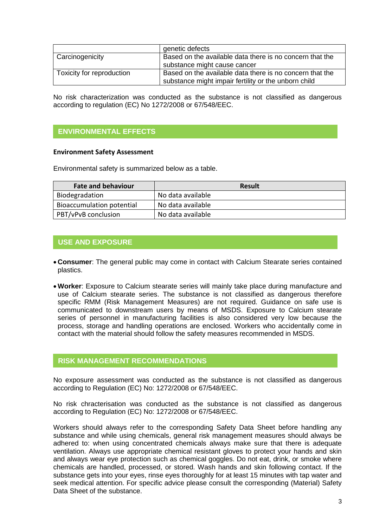|                           | genetic defects                                          |
|---------------------------|----------------------------------------------------------|
| Carcinogenicity           | Based on the available data there is no concern that the |
|                           | substance might cause cancer                             |
| Toxicity for reproduction | Based on the available data there is no concern that the |
|                           | substance might impair fertility or the unborn child     |

No risk characterization was conducted as the substance is not classified as dangerous according to regulation (EC) No 1272/2008 or 67/548/EEC.

# **ENVIRONMENTAL EFFECTS**

#### **Environment Safety Assessment**

Environmental safety is summarized below as a table.

| <b>Fate and behaviour</b> | <b>Result</b>     |
|---------------------------|-------------------|
| Biodegradation            | No data available |
| Bioaccumulation potential | No data available |
| PBT/vPvB conclusion       | No data available |

### **USE AND EXPOSURE**

- **Consumer**: The general public may come in contact with Calcium Stearate series contained plastics.
- **Worker**: Exposure to Calcium stearate series will mainly take place during manufacture and use of Calcium stearate series. The substance is not classified as dangerous therefore specific RMM (Risk Management Measures) are not required. Guidance on safe use is communicated to downstream users by means of MSDS. Exposure to Calcium stearate series of personnel in manufacturing facilities is also considered very low because the process, storage and handling operations are enclosed. Workers who accidentally come in contact with the material should follow the safety measures recommended in MSDS.

### **RISK MANAGEMENT RECOMMENDATIONS**

No exposure assessment was conducted as the substance is not classified as dangerous according to Regulation (EC) No: 1272/2008 or 67/548/EEC.

No risk chracterisation was conducted as the substance is not classified as dangerous according to Regulation (EC) No: 1272/2008 or 67/548/EEC.

Workers should always refer to the corresponding Safety Data Sheet before handling any substance and while using chemicals, general risk management measures should always be adhered to: when using concentrated chemicals always make sure that there is adequate ventilation. Always use appropriate chemical resistant gloves to protect your hands and skin and always wear eye protection such as chemical goggles. Do not eat, drink, or smoke where chemicals are handled, processed, or stored. Wash hands and skin following contact. If the substance gets into your eyes, rinse eyes thoroughly for at least 15 minutes with tap water and seek medical attention. For specific advice please consult the corresponding (Material) Safety Data Sheet of the substance.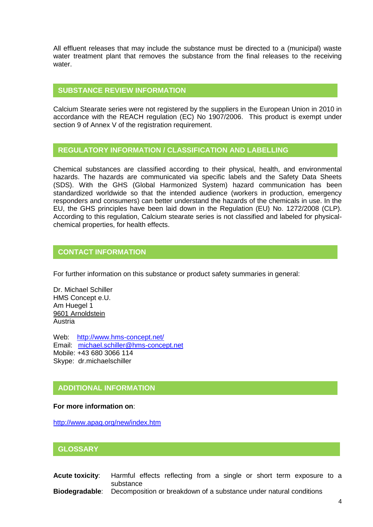All effluent releases that may include the substance must be directed to a (municipal) waste water treatment plant that removes the substance from the final releases to the receiving water.

## **SUBSTANCE REVIEW INFORMATION**

Calcium Stearate series were not registered by the suppliers in the European Union in 2010 in accordance with the REACH regulation (EC) No 1907/2006. This product is exempt under section 9 of Annex V of the registration requirement.

### **REGULATORY INFORMATION / CLASSIFICATION AND LABELLING**

Chemical substances are classified according to their physical, health, and environmental hazards. The hazards are communicated via specific labels and the Safety Data Sheets (SDS). With the GHS (Global Harmonized System) hazard communication has been standardized worldwide so that the intended audience (workers in production, emergency responders and consumers) can better understand the hazards of the chemicals in use. In the EU, the GHS principles have been laid down in the Regulation (EU) No. 1272/2008 (CLP). According to this regulation, Calcium stearate series is not classified and labeled for physicalchemical properties, for health effects.

# **CONTACT INFORMATION**

For further information on this substance or product safety summaries in general:

Dr. Michael Schiller HMS Concept e.U. Am Huegel 1 9601 Arnoldstein Austria

Web: <http://www.hms-concept.net/> Email: [michael.schiller@hms-concept.net](mailto:michael.schiller@hms-concept.net) Mobile: +43 680 3066 114 Skype: dr.michaelschiller

# **ADDITIONAL INFORMATION**

#### **For more information on**:

<http://www.apag.org/new/index.htm>

#### **GLOSSARY**

**Acute toxicity**: Harmful effects reflecting from a single or short term exposure to a substance **Biodegradable**: Decomposition or breakdown of a substance under natural conditions